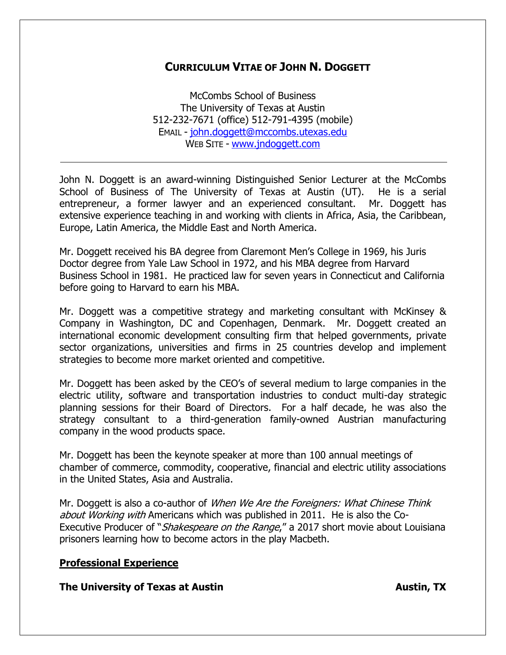# **CURRICULUM VITAE OF JOHN N. DOGGETT**

McCombs School of Business The University of Texas at Austin 512-232-7671 (office) 512-791-4395 (mobile) EMAIL - [john.doggett@mccombs.utexas.edu](mailto:john.doggett@mccombs.utexas.edu) WEB SITE - [www.jndoggett.com](http://www.jndoggett.com/)

John N. Doggett is an award-winning Distinguished Senior Lecturer at the McCombs School of Business of The University of Texas at Austin (UT). He is a serial entrepreneur, a former lawyer and an experienced consultant. Mr. Doggett has extensive experience teaching in and working with clients in Africa, Asia, the Caribbean, Europe, Latin America, the Middle East and North America.

Mr. Doggett received his BA degree from Claremont Men's College in 1969, his Juris Doctor degree from Yale Law School in 1972, and his MBA degree from Harvard Business School in 1981. He practiced law for seven years in Connecticut and California before going to Harvard to earn his MBA.

Mr. Doggett was a competitive strategy and marketing consultant with McKinsey & Company in Washington, DC and Copenhagen, Denmark. Mr. Doggett created an international economic development consulting firm that helped governments, private sector organizations, universities and firms in 25 countries develop and implement strategies to become more market oriented and competitive.

Mr. Doggett has been asked by the CEO's of several medium to large companies in the electric utility, software and transportation industries to conduct multi-day strategic planning sessions for their Board of Directors. For a half decade, he was also the strategy consultant to a third-generation family-owned Austrian manufacturing company in the wood products space.

Mr. Doggett has been the keynote speaker at more than 100 annual meetings of chamber of commerce, commodity, cooperative, financial and electric utility associations in the United States, Asia and Australia.

Mr. Doggett is also a co-author of *When We Are the Foreigners: What Chinese Think* about Working with Americans which was published in 2011. He is also the Co-Executive Producer of "*Shakespeare on the Range*," a 2017 short movie about Louisiana prisoners learning how to become actors in the play Macbeth.

# **Professional Experience**

**The University of Texas at Austin Austing the University of Texas at Austin**, TX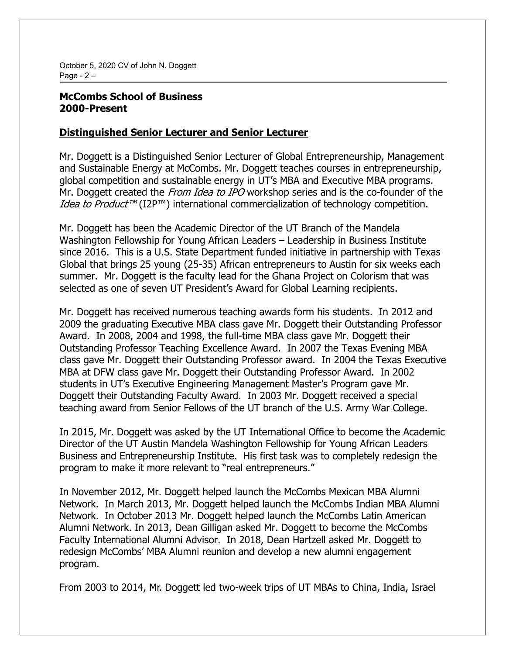October 5, 2020 CV of John N. Doggett Page -  $2 -$ 

# **McCombs School of Business 2000-Present**

### **Distinguished Senior Lecturer and Senior Lecturer**

Mr. Doggett is a Distinguished Senior Lecturer of Global Entrepreneurship, Management and Sustainable Energy at McCombs. Mr. Doggett teaches courses in entrepreneurship, global competition and sustainable energy in UT's MBA and Executive MBA programs. Mr. Doggett created the *From Idea to IPO* workshop series and is the co-founder of the *Idea to Product<sup>TM</sup>* (I2P<sup>TM</sup>) international commercialization of technology competition.

Mr. Doggett has been the Academic Director of the UT Branch of the Mandela Washington Fellowship for Young African Leaders - Leadership in Business Institute since 2016. This is a U.S. State Department funded initiative in partnership with Texas Global that brings 25 young (25-35) African entrepreneurs to Austin for six weeks each summer. Mr. Doggett is the faculty lead for the Ghana Project on Colorism that was selected as one of seven UT President's Award for Global Learning recipients.

Mr. Doggett has received numerous teaching awards form his students. In 2012 and 2009 the graduating Executive MBA class gave Mr. Doggett their Outstanding Professor Award. In 2008, 2004 and 1998, the full-time MBA class gave Mr. Doggett their Outstanding Professor Teaching Excellence Award. In 2007 the Texas Evening MBA class gave Mr. Doggett their Outstanding Professor award. In 2004 the Texas Executive MBA at DFW class gave Mr. Doggett their Outstanding Professor Award. In 2002 students in UT's Executive Engineering Management Master's Program gave Mr. Doggett their Outstanding Faculty Award. In 2003 Mr. Doggett received a special teaching award from Senior Fellows of the UT branch of the U.S. Army War College.

In 2015, Mr. Doggett was asked by the UT International Office to become the Academic Director of the UT Austin Mandela Washington Fellowship for Young African Leaders Business and Entrepreneurship Institute. His first task was to completely redesign the program to make it more relevant to "real entrepreneurs."

In November 2012, Mr. Doggett helped launch the McCombs Mexican MBA Alumni Network. In March 2013, Mr. Doggett helped launch the McCombs Indian MBA Alumni Network. In October 2013 Mr. Doggett helped launch the McCombs Latin American Alumni Network. In 2013, Dean Gilligan asked Mr. Doggett to become the McCombs Faculty International Alumni Advisor. In 2018, Dean Hartzell asked Mr. Doggett to redesign McCombs' MBA Alumni reunion and develop a new alumni engagement program.

From 2003 to 2014, Mr. Doggett led two-week trips of UT MBAs to China, India, Israel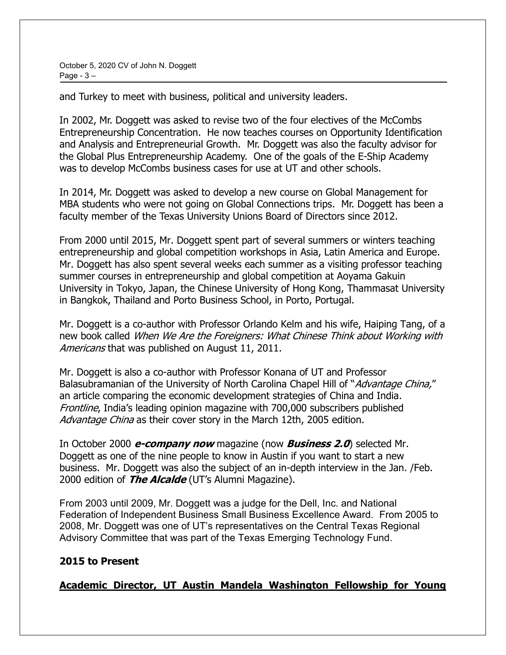October 5, 2020 CV of John N. Doggett Page  $-3 -$ 

and Turkey to meet with business, political and university leaders.

In 2002, Mr. Doggett was asked to revise two of the four electives of the McCombs Entrepreneurship Concentration. He now teaches courses on Opportunity Identification and Analysis and Entrepreneurial Growth. Mr. Doggett was also the faculty advisor for the Global Plus Entrepreneurship Academy. One of the goals of the E-Ship Academy was to develop McCombs business cases for use at UT and other schools.

In 2014, Mr. Doggett was asked to develop a new course on Global Management for MBA students who were not going on Global Connections trips. Mr. Doggett has been a faculty member of the Texas University Unions Board of Directors since 2012.

From 2000 until 2015, Mr. Doggett spent part of several summers or winters teaching entrepreneurship and global competition workshops in Asia, Latin America and Europe. Mr. Doggett has also spent several weeks each summer as a visiting professor teaching summer courses in entrepreneurship and global competition at Aoyama Gakuin University in Tokyo, Japan, the Chinese University of Hong Kong, Thammasat University in Bangkok, Thailand and Porto Business School, in Porto, Portugal.

Mr. Doggett is a co-author with Professor Orlando Kelm and his wife, Haiping Tang, of a new book called When We Are the Foreigners: What Chinese Think about Working with Americans that was published on August 11, 2011.

Mr. Doggett is also a co-author with Professor Konana of UT and Professor Balasubramanian of the University of North Carolina Chapel Hill of "Advantage China," an article comparing the economic development strategies of China and India. Frontline, India's leading opinion magazine with 700,000 subscribers published Advantage China as their cover story in the March 12th, 2005 edition.

In October 2000 **e-company now** magazine (now **Business 2.0**) selected Mr. Doggett as one of the nine people to know in Austin if you want to start a new business. Mr. Doggett was also the subject of an in-depth interview in the Jan. /Feb. 2000 edition of **The Alcalde** (UT's Alumni Magazine).

From 2003 until 2009, Mr. Doggett was a judge for the Dell, Inc. and National Federation of Independent Business Small Business Excellence Award. From 2005 to 2008, Mr. Doggett was one of UT's representatives on the Central Texas Regional Advisory Committee that was part of the Texas Emerging Technology Fund.

# **2015 to Present**

**Academic Director, UT Austin Mandela Washington Fellowship for Young**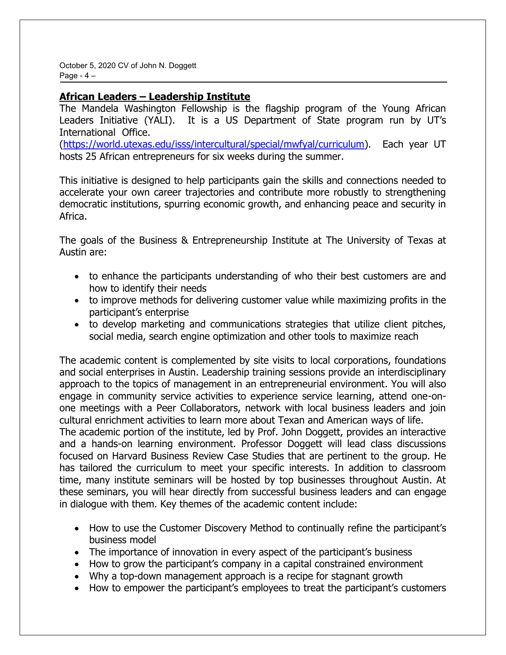October 5, 2020 CV of John N. Doggett Page  $-4-$ 

# **African Leaders ± Leadership Institute**

The Mandela Washington Fellowship is the flagship program of the Young African Leaders Initiative (YALI). It is a US Department of State program run by UT's International Office.

[\(https://world.utexas.edu/isss/intercultural/special/mwfyal/curriculum\)](https://world.utexas.edu/isss/intercultural/special/mwfyal/curriculum). Each year UT hosts 25 African entrepreneurs for six weeks during the summer.

This initiative is designed to help participants gain the skills and connections needed to accelerate your own career trajectories and contribute more robustly to strengthening democratic institutions, spurring economic growth, and enhancing peace and security in Africa.

The goals of the Business & Entrepreneurship Institute at The University of Texas at Austin are:

- to enhance the participants understanding of who their best customers are and how to identify their needs
- to improve methods for delivering customer value while maximizing profits in the participant's enterprise
- to develop marketing and communications strategies that utilize client pitches, social media, search engine optimization and other tools to maximize reach

The academic content is complemented by site visits to local corporations, foundations and social enterprises in Austin. Leadership training sessions provide an interdisciplinary approach to the topics of management in an entrepreneurial environment. You will also engage in community service activities to experience service learning, attend one-onone meetings with a Peer Collaborators, network with local business leaders and join cultural enrichment activities to learn more about Texan and American ways of life. The academic portion of the institute, led by Prof. John Doggett, provides an interactive and a hands-on learning environment. Professor Doggett will lead class discussions focused on Harvard Business Review Case Studies that are pertinent to the group. He has tailored the curriculum to meet your specific interests. In addition to classroom time, many institute seminars will be hosted by top businesses throughout Austin. At these seminars, you will hear directly from successful business leaders and can engage in dialogue with them. Key themes of the academic content include:

- How to use the Customer Discovery Method to continually refine the participant's business model
- The importance of innovation in every aspect of the participant's business
- How to grow the participant's company in a capital constrained environment
- Why a top-down management approach is a recipe for stagnant growth
- How to empower the participant's employees to treat the participant's customers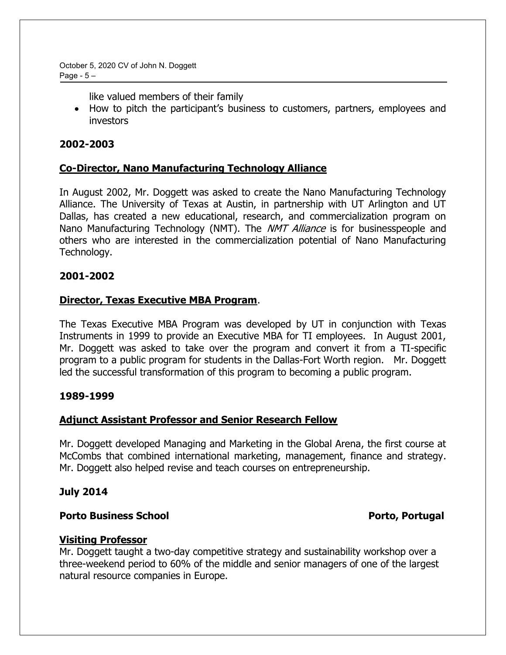October 5, 2020 CV of John N. Doggett Page -  $5 -$ 

like valued members of their family

• How to pitch the participant's business to customers, partners, employees and investors

# **2002-2003**

# **Co-Director, Nano Manufacturing Technology Alliance**

In August 2002, Mr. Doggett was asked to create the Nano Manufacturing Technology Alliance. The University of Texas at Austin, in partnership with UT Arlington and UT Dallas, has created a new educational, research, and commercialization program on Nano Manufacturing Technology (NMT). The *NMT Alliance* is for businesspeople and others who are interested in the commercialization potential of Nano Manufacturing Technology.

### **2001-2002**

### **Director, Texas Executive MBA Program**.

The Texas Executive MBA Program was developed by UT in conjunction with Texas Instruments in 1999 to provide an Executive MBA for TI employees. In August 2001, Mr. Doggett was asked to take over the program and convert it from a TI-specific program to a public program for students in the Dallas-Fort Worth region. Mr. Doggett led the successful transformation of this program to becoming a public program.

### **1989-1999**

# **Adjunct Assistant Professor and Senior Research Fellow**

Mr. Doggett developed Managing and Marketing in the Global Arena, the first course at McCombs that combined international marketing, management, finance and strategy. Mr. Doggett also helped revise and teach courses on entrepreneurship.

### **July 2014**

### **Porto Business School Porto, Portugal**

# **Visiting Professor**

Mr. Doggett taught a two-day competitive strategy and sustainability workshop over a three-weekend period to 60% of the middle and senior managers of one of the largest natural resource companies in Europe.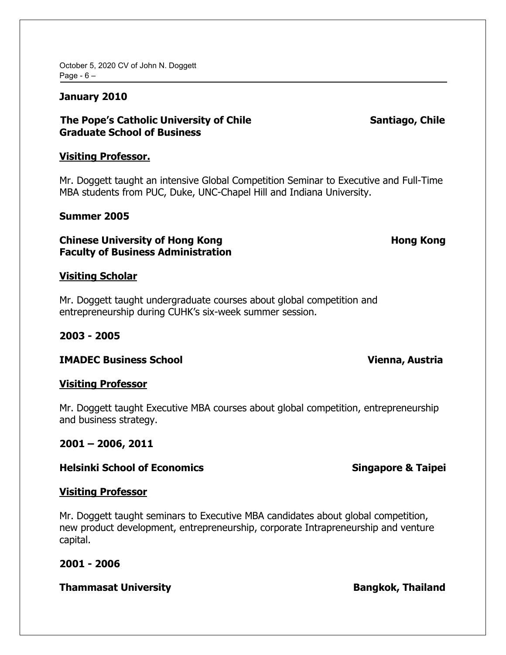October 5, 2020 CV of John N. Doggett Page  $-6 -$ 

### **January 2010**

# **The Pope's Catholic University of Chile Santiago, Chile Santiago, Chile Graduate School of Business**

### **Visiting Professor.**

Mr. Doggett taught an intensive Global Competition Seminar to Executive and Full-Time MBA students from PUC, Duke, UNC-Chapel Hill and Indiana University.

### **Summer 2005**

### **Chinese University of Hong Kong Nong Hong Kong Hong Kong Nong Kong Roma Faculty of Business Administration**

### **Visiting Scholar**

Mr. Doggett taught undergraduate courses about global competition and entrepreneurship during CUHK's six-week summer session.

### **2003 - 2005**

**IMADEC Business School Vienna, Austria**

### **Visiting Professor**

Mr. Doggett taught Executive MBA courses about global competition, entrepreneurship and business strategy.

### **2001 ± 2006, 2011**

### **Helsinki School of Economics Singapore & Taipei**

### **Visiting Professor**

Mr. Doggett taught seminars to Executive MBA candidates about global competition, new product development, entrepreneurship, corporate Intrapreneurship and venture capital.

### **2001 - 2006**

### **Thammasat University Community Bangkok, Thailand**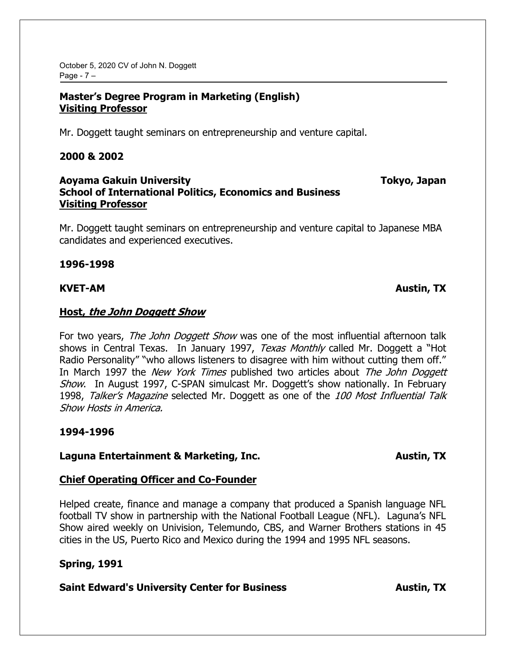October 5, 2020 CV of John N. Doggett Page -  $7 -$ 

# **Master's Degree Program in Marketing (English) Visiting Professor**

Mr. Doggett taught seminars on entrepreneurship and venture capital.

### **2000 & 2002**

# **Aoyama Gakuin University Tokyo, Japan School of International Politics, Economics and Business Visiting Professor**

Mr. Doggett taught seminars on entrepreneurship and venture capital to Japanese MBA candidates and experienced executives.

**1996-1998**

### **KVET-AM Austin, TX**

### **Host, the John Doggett Show**

For two years, The John Doggett Show was one of the most influential afternoon talk shows in Central Texas. In January 1997, Texas Monthly called Mr. Doggett a "Hot Radio Personality" "who allows listeners to disagree with him without cutting them off." In March 1997 the New York Times published two articles about The John Doggett Show. In August 1997, C-SPAN simulcast Mr. Doggett's show nationally. In February 1998, Talker's Magazine selected Mr. Doggett as one of the 100 Most Influential Talk Show Hosts in America.

# **1994-1996**

# **Laguna Entertainment & Marketing, Inc. Austin, TX**

# **Chief Operating Officer and Co-Founder**

Helped create, finance and manage a company that produced a Spanish language NFL football TV show in partnership with the National Football League (NFL). Laguna's NFL Show aired weekly on Univision, Telemundo, CBS, and Warner Brothers stations in 45 cities in the US, Puerto Rico and Mexico during the 1994 and 1995 NFL seasons.

# **Spring, 1991**

# **Saint Edward's University Center for Business <b>Austin**, TX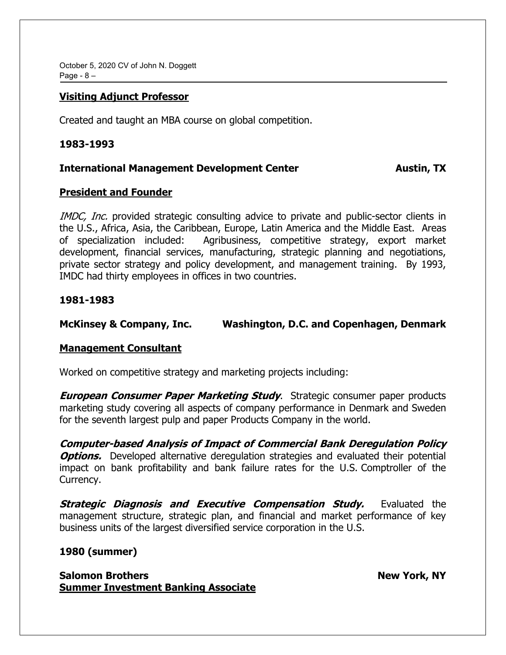October 5, 2020 CV of John N. Doggett Page  $-8 -$ 

### **Visiting Adjunct Professor**

Created and taught an MBA course on global competition.

### **1983-1993**

### **International Management Development Center Austin, TX**

# **President and Founder**

IMDC, Inc. provided strategic consulting advice to private and public-sector clients in the U.S., Africa, Asia, the Caribbean, Europe, Latin America and the Middle East. Areas of specialization included: Agribusiness, competitive strategy, export market development, financial services, manufacturing, strategic planning and negotiations, private sector strategy and policy development, and management training. By 1993, IMDC had thirty employees in offices in two countries.

### **1981-1983**

### **McKinsey & Company, Inc. Washington, D.C. and Copenhagen, Denmark**

### **Management Consultant**

Worked on competitive strategy and marketing projects including:

**European Consumer Paper Marketing Study**. Strategic consumer paper products marketing study covering all aspects of company performance in Denmark and Sweden for the seventh largest pulp and paper Products Company in the world.

**Computer-based Analysis of Impact of Commercial Bank Deregulation Policy Options.** Developed alternative deregulation strategies and evaluated their potential impact on bank profitability and bank failure rates for the U.S. Comptroller of the Currency.

**Strategic Diagnosis and Executive Compensation Study.** Evaluated the management structure, strategic plan, and financial and market performance of key business units of the largest diversified service corporation in the U.S.

# **1980 (summer)**

**Salomon Brothers New York, NY Summer Investment Banking Associate**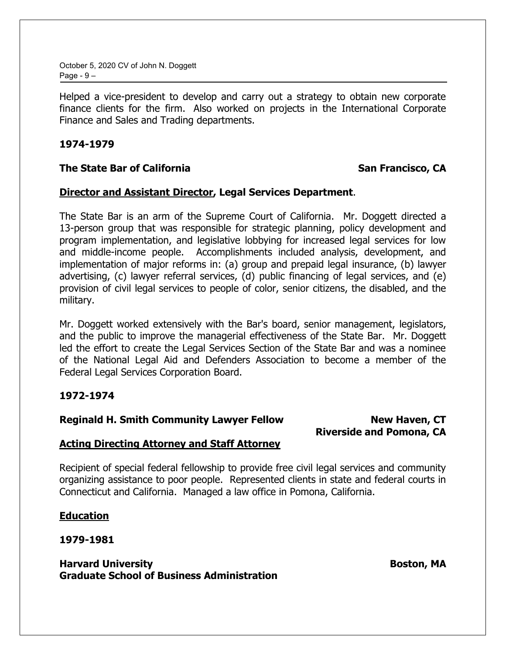October 5, 2020 CV of John N. Doggett Page -  $9 -$ 

Helped a vice-president to develop and carry out a strategy to obtain new corporate finance clients for the firm. Also worked on projects in the International Corporate Finance and Sales and Trading departments.

### **1974-1979**

# **The State Bar of California SAN EXAMPLE STATE STATE STATE STATE STATE STATE STATE STATE STATE STATE STATE STATE**

### **Director and Assistant Director, Legal Services Department**.

The State Bar is an arm of the Supreme Court of California. Mr. Doggett directed a 13-person group that was responsible for strategic planning, policy development and program implementation, and legislative lobbying for increased legal services for low and middle-income people. Accomplishments included analysis, development, and implementation of major reforms in: (a) group and prepaid legal insurance, (b) lawyer advertising, (c) lawyer referral services, (d) public financing of legal services, and (e) provision of civil legal services to people of color, senior citizens, the disabled, and the military.

Mr. Doggett worked extensively with the Bar's board, senior management, legislators, and the public to improve the managerial effectiveness of the State Bar. Mr. Doggett led the effort to create the Legal Services Section of the State Bar and was a nominee of the National Legal Aid and Defenders Association to become a member of the Federal Legal Services Corporation Board.

# **1972-1974**

### **Reginald H. Smith Community Lawyer Fellow New Haven, CT**

# **Riverside and Pomona, CA**

# **Acting Directing Attorney and Staff Attorney**

Recipient of special federal fellowship to provide free civil legal services and community organizing assistance to poor people. Represented clients in state and federal courts in Connecticut and California. Managed a law office in Pomona, California.

# **Education**

**1979-1981**

# **Harvard University Exercise Service Service Service Service Service Service Service Service Service Service Service Service Service Service Service Service Service Service Service Service Service Service Service Service S Graduate School of Business Administration**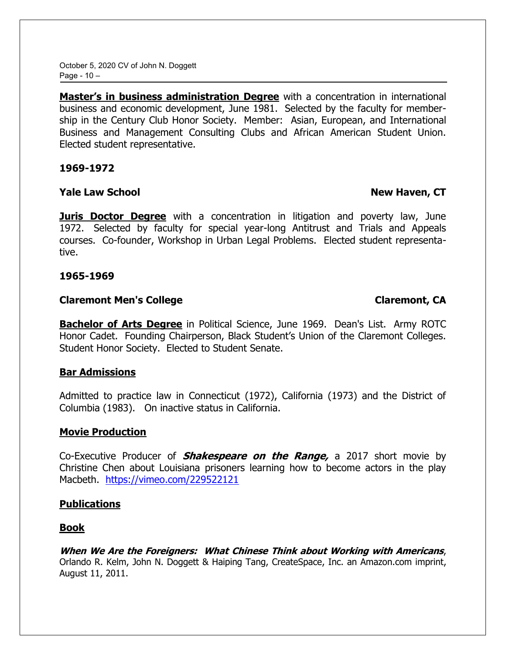October 5, 2020 CV of John N. Doggett Page -  $10 -$ 

Master's in business administration Degree with a concentration in international business and economic development, June 1981. Selected by the faculty for membership in the Century Club Honor Society. Member: Asian, European, and International Business and Management Consulting Clubs and African American Student Union. Elected student representative.

**1969-1972**

# **Yale Law School New Haven, CT**

**Juris Doctor Degree** with a concentration in litigation and poverty law, June 1972. Selected by faculty for special year-long Antitrust and Trials and Appeals courses. Co-founder, Workshop in Urban Legal Problems. Elected student representative.

### **1965-1969**

# **Claremont Men's College Claremont, CA**

**Bachelor of Arts Degree** in Political Science, June 1969. Dean's List. Army ROTC Honor Cadet. Founding Chairperson, Black Student's Union of the Claremont Colleges. Student Honor Society. Elected to Student Senate.

# **Bar Admissions**

Admitted to practice law in Connecticut (1972), California (1973) and the District of Columbia (1983). On inactive status in California.

# **Movie Production**

Co-Executive Producer of **Shakespeare on the Range,** a 2017 short movie by Christine Chen about Louisiana prisoners learning how to become actors in the play Macbeth. <https://vimeo.com/229522121>

# **Publications**

# **Book**

**When We Are the Foreigners: What Chinese Think about Working with Americans**, Orlando R. Kelm, John N. Doggett & Haiping Tang, CreateSpace, Inc. an Amazon.com imprint, August 11, 2011.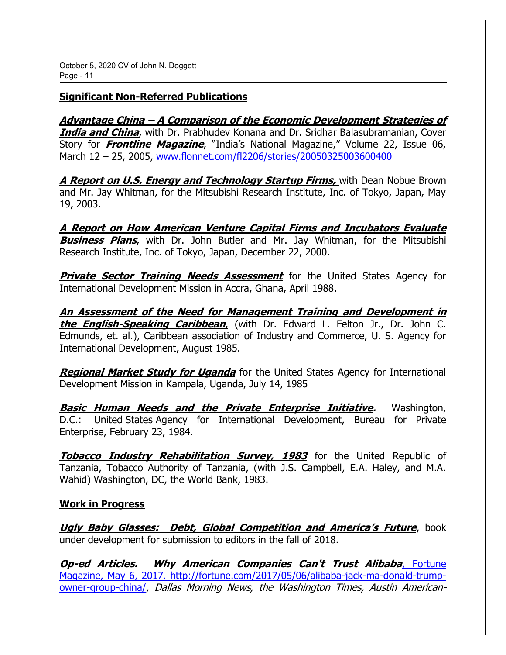# **Significant Non-Referred Publications**

**Advantage China <sup>±</sup> A Comparison of the Economic Development Strategies of India and China**, with Dr. Prabhudev Konana and Dr. Sridhar Balasubramanian, Cover Story for **Frontline Magazine**, "India's National Magazine," Volume 22, Issue 06, March 12 ± 25, 2005, [www.flonnet.com/fl2206/stories/20050325003600400](http://www.flonnet.com/fl2206/stories/20050325003600400) 

**A Report on U.S. Energy and Technology Startup Firms,** with Dean Nobue Brown and Mr. Jay Whitman, for the Mitsubishi Research Institute, Inc. of Tokyo, Japan, May 19, 2003.

**A Report on How American Venture Capital Firms and Incubators Evaluate Business Plans**, with Dr. John Butler and Mr. Jay Whitman, for the Mitsubishi Research Institute, Inc. of Tokyo, Japan, December 22, 2000.

**Private Sector Training Needs Assessment** for the United States Agency for International Development Mission in Accra, Ghana, April 1988.

**An Assessment of the Need for Management Training and Development in the English-Speaking Caribbean**, (with Dr. Edward L. Felton Jr., Dr. John C. Edmunds, et. al.), Caribbean association of Industry and Commerce, U. S. Agency for International Development, August 1985.

**Regional Market Study for Uganda** for the United States Agency for International Development Mission in Kampala, Uganda, July 14, 1985

**Basic Human Needs and the Private Enterprise Initiative.** Washington, D.C.: United States Agency for International Development, Bureau for Private Enterprise, February 23, 1984.

**Tobacco Industry Rehabilitation Survey, 1983** for the United Republic of Tanzania, Tobacco Authority of Tanzania, (with J.S. Campbell, E.A. Haley, and M.A. Wahid) Washington, DC, the World Bank, 1983.

# **Work in Progress**

*Ugly Baby Glasses: Debt, Global Competition and America's Future, book* under development for submission to editors in the fall of 2018.

**Op-ed Articles. Why American Companies Can't Trust Alibaba**, Fortune Magazine, May 6, 2017. [http://fortune.com/2017/05/06/alibaba-jack-ma-donald-trump](http://fortune.com/2017/05/06/alibaba-jack-ma-donald-trump-owner-group-china/)[owner-group-china/,](http://fortune.com/2017/05/06/alibaba-jack-ma-donald-trump-owner-group-china/) Dallas Morning News, the Washington Times, Austin American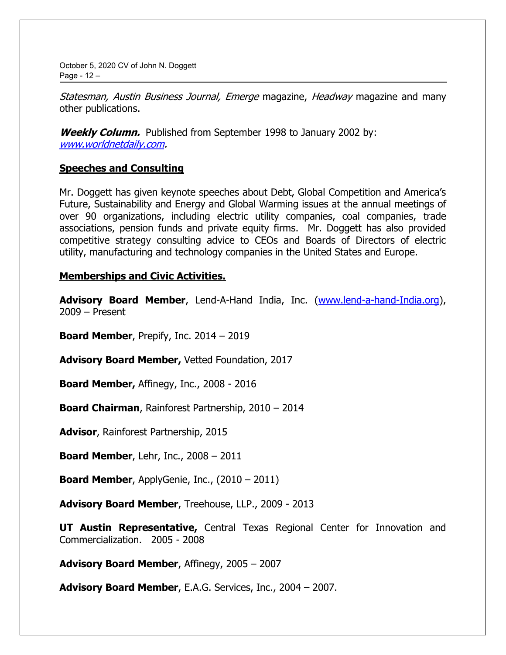October 5, 2020 CV of John N. Doggett Page -  $12 -$ 

Statesman, Austin Business Journal, Emerge magazine, Headway magazine and many other publications.

**Weekly Column.** Published from September 1998 to January 2002 by: [www.worldnetdaily.com.](http://www.worldnetdaily.com/)

### **Speeches and Consulting**

Mr. Doggett has given keynote speeches about Debt, Global Competition and America's Future, Sustainability and Energy and Global Warming issues at the annual meetings of over 90 organizations, including electric utility companies, coal companies, trade associations, pension funds and private equity firms. Mr. Doggett has also provided competitive strategy consulting advice to CEOs and Boards of Directors of electric utility, manufacturing and technology companies in the United States and Europe.

### **Memberships and Civic Activities.**

**Advisory Board Member**, Lend-A-Hand India, Inc. [\(www.lend-a-hand-India.org\)](http://www.lend-a-hand-india.org/),  $2009 -$ Present

**Board Member, Prepify, Inc.**  $2014 - 2019$ 

**Advisory Board Member,** Vetted Foundation, 2017

**Board Member,** Affinegy, Inc., 2008 - 2016

**Board Chairman**, Rainforest Partnership, 2010 - 2014

**Advisor**, Rainforest Partnership, 2015

**Board Member, Lehr, Inc., 2008 – 2011** 

**Board Member, ApplyGenie, Inc.,**  $(2010 - 2011)$ 

**Advisory Board Member**, Treehouse, LLP., 2009 - 2013

**UT Austin Representative,** Central Texas Regional Center for Innovation and Commercialization. 2005 - 2008

**Advisory Board Member, Affinegy, 2005 - 2007** 

**Advisory Board Member, E.A.G. Services, Inc., 2004 – 2007.**